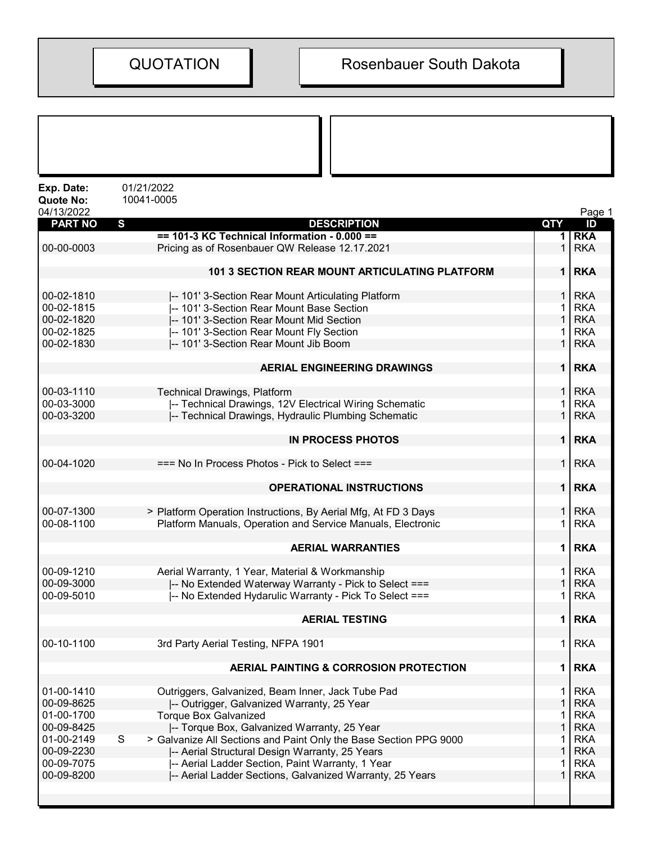| Exp. Date:                     | 01/21/2022                                                             |                |            |
|--------------------------------|------------------------------------------------------------------------|----------------|------------|
| <b>Quote No:</b><br>04/13/2022 | 10041-0005                                                             |                | Page 1     |
| <b>PART NO</b>                 | S<br><b>DESCRIPTION</b>                                                | QTY            | ID         |
|                                | $== 101-3$ KC Technical Information - 0.000 ==                         |                | <b>RKA</b> |
| 00-00-0003                     | Pricing as of Rosenbauer QW Release 12.17.2021                         |                | <b>RKA</b> |
|                                | 101 3 SECTION REAR MOUNT ARTICULATING PLATFORM                         | 1 <sup>1</sup> | <b>RKA</b> |
| 00-02-1810                     | -- 101' 3-Section Rear Mount Articulating Platform                     |                | <b>RKA</b> |
| 00-02-1815                     | -- 101' 3-Section Rear Mount Base Section                              |                | <b>RKA</b> |
| 00-02-1820                     | -- 101' 3-Section Rear Mount Mid Section                               |                | <b>RKA</b> |
| 00-02-1825                     | -- 101' 3-Section Rear Mount Fly Section                               |                | <b>RKA</b> |
| 00-02-1830                     | -- 101' 3-Section Rear Mount Jib Boom                                  | 1              | <b>RKA</b> |
|                                | <b>AERIAL ENGINEERING DRAWINGS</b>                                     | 1 <sup>1</sup> | <b>RKA</b> |
|                                |                                                                        |                |            |
| 00-03-1110                     | <b>Technical Drawings, Platform</b>                                    |                | <b>RKA</b> |
| 00-03-3000                     | -- Technical Drawings, 12V Electrical Wiring Schematic                 |                | <b>RKA</b> |
| 00-03-3200                     | -- Technical Drawings, Hydraulic Plumbing Schematic                    | 1              | <b>RKA</b> |
|                                | <b>IN PROCESS PHOTOS</b>                                               | 1 <sup>1</sup> | <b>RKA</b> |
| 00-04-1020                     | === No In Process Photos - Pick to Select ===                          | 1 <sup>1</sup> | <b>RKA</b> |
|                                | <b>OPERATIONAL INSTRUCTIONS</b>                                        | 1              | <b>RKA</b> |
| 00-07-1300                     | > Platform Operation Instructions, By Aerial Mfg, At FD 3 Days         |                | <b>RKA</b> |
| 00-08-1100                     | Platform Manuals, Operation and Service Manuals, Electronic            | 1              | <b>RKA</b> |
|                                | <b>AERIAL WARRANTIES</b>                                               | 1              | <b>RKA</b> |
| 00-09-1210                     | Aerial Warranty, 1 Year, Material & Workmanship                        |                | <b>RKA</b> |
| 00-09-3000                     | -- No Extended Waterway Warranty - Pick to Select ===                  |                | <b>RKA</b> |
| 00-09-5010                     | -- No Extended Hydarulic Warranty - Pick To Select ===                 |                | 1 RKA      |
|                                | <b>AERIAL TESTING</b>                                                  | 1              | <b>RKA</b> |
|                                |                                                                        |                |            |
| 00-10-1100                     | 3rd Party Aerial Testing, NFPA 1901                                    | 1              | <b>RKA</b> |
|                                | AERIAL PAINTING & CORROSION PROTECTION                                 | 1              | <b>RKA</b> |
| 01-00-1410                     | Outriggers, Galvanized, Beam Inner, Jack Tube Pad                      | 1              | <b>RKA</b> |
| 00-09-8625                     | -- Outrigger, Galvanized Warranty, 25 Year                             |                | <b>RKA</b> |
| 01-00-1700                     | <b>Torque Box Galvanized</b>                                           |                | <b>RKA</b> |
| 00-09-8425                     | -- Torque Box, Galvanized Warranty, 25 Year                            | 1              | <b>RKA</b> |
| 01-00-2149                     | S<br>> Galvanize All Sections and Paint Only the Base Section PPG 9000 |                | <b>RKA</b> |
| 00-09-2230                     | -- Aerial Structural Design Warranty, 25 Years                         |                | <b>RKA</b> |
| 00-09-7075                     | -- Aerial Ladder Section, Paint Warranty, 1 Year                       |                | <b>RKA</b> |
| 00-09-8200                     | -- Aerial Ladder Sections, Galvanized Warranty, 25 Years               |                | <b>RKA</b> |
|                                |                                                                        |                |            |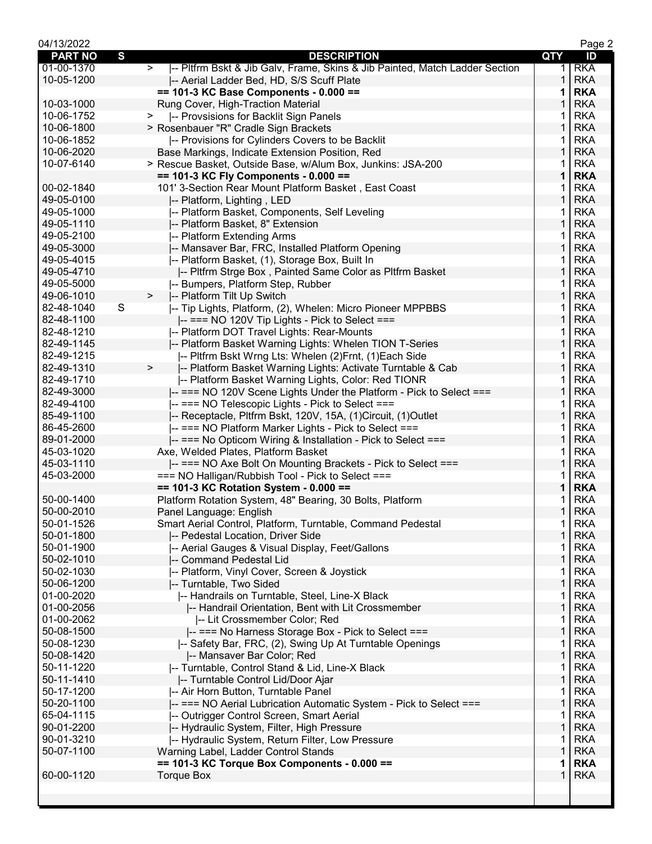| 04/13/2022               |                                                                                       |                   | Page 2                   |
|--------------------------|---------------------------------------------------------------------------------------|-------------------|--------------------------|
| <b>PART NO</b>           | S<br><b>DESCRIPTION</b>                                                               | QTY               | ID                       |
| 01-00-1370               | -- Pltfrm Bskt & Jib Galv, Frame, Skins & Jib Painted, Match Ladder Section<br>$\geq$ | 1.                | <b>RKA</b>               |
| 10-05-1200               | -- Aerial Ladder Bed, HD, S/S Scuff Plate                                             | 1                 | <b>RKA</b>               |
|                          | $== 101-3$ KC Base Components - 0.000 ==                                              | 1                 | <b>RKA</b>               |
| 10-03-1000               | Rung Cover, High-Traction Material                                                    |                   | <b>RKA</b>               |
| 10-06-1752               | -- Provsisions for Backlit Sign Panels<br>>                                           |                   | <b>RKA</b>               |
| 10-06-1800               | > Rosenbauer "R" Cradle Sign Brackets                                                 | 1                 | <b>RKA</b>               |
| 10-06-1852               | -- Provisions for Cylinders Covers to be Backlit                                      | 1                 | <b>RKA</b>               |
| 10-06-2020               | Base Markings, Indicate Extension Position, Red                                       | 1                 | <b>RKA</b>               |
| 10-07-6140               | > Rescue Basket, Outside Base, w/Alum Box, Junkins: JSA-200                           | 1                 | <b>RKA</b>               |
|                          | == 101-3 KC Fly Components - 0.000 ==                                                 | 1                 | <b>RKA</b>               |
| 00-02-1840               | 101' 3-Section Rear Mount Platform Basket, East Coast                                 |                   | <b>RKA</b>               |
| 49-05-0100               | -- Platform, Lighting, LED                                                            | 1                 | <b>RKA</b>               |
| 49-05-1000               | -- Platform Basket, Components, Self Leveling                                         | 1                 | <b>RKA</b>               |
| 49-05-1110               | -- Platform Basket, 8" Extension                                                      | 1                 | <b>RKA</b>               |
| 49-05-2100               | -- Platform Extending Arms                                                            | 1                 | <b>RKA</b>               |
| 49-05-3000               | -- Mansaver Bar, FRC, Installed Platform Opening                                      | 1                 | <b>RKA</b>               |
| 49-05-4015               | -- Platform Basket, (1), Storage Box, Built In                                        | 1                 | <b>RKA</b>               |
| 49-05-4710               | -- Pltfrm Strge Box, Painted Same Color as Pltfrm Basket                              | 1                 | <b>RKA</b>               |
| 49-05-5000               | -- Bumpers, Platform Step, Rubber                                                     | 1                 | <b>RKA</b>               |
| 49-06-1010               | -- Platform Tilt Up Switch<br>$\geq$                                                  | 1                 | <b>RKA</b>               |
| 82-48-1040               | S<br>-- Tip Lights, Platform, (2), Whelen: Micro Pioneer MPPBBS                       | 1                 | <b>RKA</b>               |
| 82-48-1100               | $\left  \text{---} \right $ === NO 120V Tip Lights - Pick to Select ===               | $\mathbf{1}$      | <b>RKA</b>               |
| 82-48-1210               | -- Platform DOT Travel Lights: Rear-Mounts                                            | 1                 | <b>RKA</b>               |
| 82-49-1145               | -- Platform Basket Warning Lights: Whelen TION T-Series                               | 1                 | <b>RKA</b>               |
| 82-49-1215               | I-- Pltfrm Bskt Wrng Lts: Whelen (2)Frnt, (1)Each Side                                | 1                 | <b>RKA</b>               |
| 82-49-1310               | $\,>$<br>-- Platform Basket Warning Lights: Activate Turntable & Cab                  | 1                 | <b>RKA</b>               |
| 82-49-1710               | -- Platform Basket Warning Lights, Color: Red TIONR                                   | 1                 | <b>RKA</b>               |
| 82-49-3000               | -- === NO 120V Scene Lights Under the Platform - Pick to Select ===                   | 1                 | <b>RKA</b>               |
| 82-49-4100               | -- === NO Telescopic Lights - Pick to Select ===                                      | 1                 | <b>RKA</b>               |
| 85-49-1100               | -- Receptacle, Pltfrm Bskt, 120V, 15A, (1)Circuit, (1)Outlet                          | 1                 | <b>RKA</b>               |
| 86-45-2600               | -- === NO Platform Marker Lights - Pick to Select ===                                 | 1                 | <b>RKA</b>               |
| 89-01-2000               | -- === No Opticom Wiring & Installation - Pick to Select ===                          | 1                 | <b>RKA</b>               |
| 45-03-1020               | Axe, Welded Plates, Platform Basket                                                   | 1                 | <b>RKA</b>               |
| 45-03-1110               | -- === NO Axe Bolt On Mounting Brackets - Pick to Select ===                          | 1                 | <b>RKA</b>               |
| 45-03-2000               | === NO Halligan/Rubbish Tool - Pick to Select ===                                     | 1                 | <b>RKA</b>               |
|                          | == 101-3 KC Rotation System - 0.000 ==                                                | 1                 | <b>RKA</b>               |
| 50-00-1400               | Platform Rotation System, 48" Bearing, 30 Bolts, Platform                             | 1                 | <b>RKA</b>               |
| 50-00-2010               | Panel Language: English                                                               | $\mathbf{1}$      | <b>RKA</b>               |
| 50-01-1526               |                                                                                       | 1                 | <b>RKA</b>               |
| 50-01-1800               | Smart Aerial Control, Platform, Turntable, Command Pedestal                           | 1                 | <b>RKA</b>               |
|                          | -- Pedestal Location, Driver Side                                                     |                   |                          |
| 50-01-1900               | -- Aerial Gauges & Visual Display, Feet/Gallons                                       | 1<br>1            | <b>RKA</b><br><b>RKA</b> |
| 50-02-1010               | -- Command Pedestal Lid                                                               | 1                 | <b>RKA</b>               |
| 50-02-1030<br>50-06-1200 | -- Platform, Vinyl Cover, Screen & Joystick                                           | 1                 | <b>RKA</b>               |
| 01-00-2020               | -- Turntable, Two Sided                                                               |                   |                          |
| 01-00-2056               | -- Handrails on Turntable, Steel, Line-X Black                                        | 1<br>$\mathbf{1}$ | <b>RKA</b><br><b>RKA</b> |
|                          | -- Handrail Orientation, Bent with Lit Crossmember                                    |                   | <b>RKA</b>               |
| 01-00-2062               | -- Lit Crossmember Color; Red                                                         | 1<br>1            | <b>RKA</b>               |
| 50-08-1500               | -- === No Harness Storage Box - Pick to Select ===                                    |                   |                          |
| 50-08-1230               | -- Safety Bar, FRC, (2), Swing Up At Turntable Openings                               | 1                 | <b>RKA</b>               |
| 50-08-1420               | -- Mansaver Bar Color; Red                                                            | 1                 | <b>RKA</b>               |
| 50-11-1220               | -- Turntable, Control Stand & Lid, Line-X Black                                       | 1                 | <b>RKA</b>               |
| 50-11-1410               | -- Turntable Control Lid/Door Ajar                                                    | 1                 | <b>RKA</b>               |
| 50-17-1200               | -- Air Horn Button, Turntable Panel                                                   | 1                 | <b>RKA</b>               |
| 50-20-1100               | -- === NO Aerial Lubrication Automatic System - Pick to Select ===                    | 1                 | <b>RKA</b>               |
| 65-04-1115               | -- Outrigger Control Screen, Smart Aerial                                             | 1                 | <b>RKA</b>               |
| 90-01-2200               | -- Hydraulic System, Filter, High Pressure                                            | 1                 | <b>RKA</b>               |
| 90-01-3210               | -- Hydraulic System, Return Filter, Low Pressure                                      | 1                 | <b>RKA</b>               |
| 50-07-1100               | Warning Label, Ladder Control Stands                                                  | 1                 | <b>RKA</b>               |
|                          | $== 101-3$ KC Torque Box Components - 0.000 ==                                        | 1                 | <b>RKA</b>               |
| 60-00-1120               | <b>Torque Box</b>                                                                     | 1                 | <b>RKA</b>               |
|                          |                                                                                       |                   |                          |